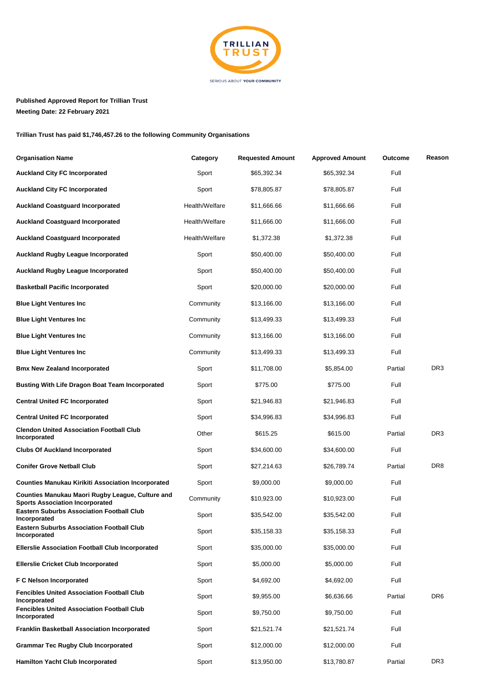

## **Published Approved Report for Trillian Trust Meeting Date: 22 February 2021**

**Trillian Trust has paid \$1,746,457.26 to the following Community Organisations**

| <b>Organisation Name</b>                                                                   | Category       | <b>Requested Amount</b> | <b>Approved Amount</b> | Outcome | Reason          |
|--------------------------------------------------------------------------------------------|----------------|-------------------------|------------------------|---------|-----------------|
| <b>Auckland City FC Incorporated</b>                                                       | Sport          | \$65,392.34             | \$65,392.34            | Full    |                 |
| <b>Auckland City FC Incorporated</b>                                                       | Sport          | \$78,805.87             | \$78,805.87            | Full    |                 |
| <b>Auckland Coastguard Incorporated</b>                                                    | Health/Welfare | \$11,666.66             | \$11,666.66            | Full    |                 |
| <b>Auckland Coastguard Incorporated</b>                                                    | Health/Welfare | \$11,666.00             | \$11,666.00            | Full    |                 |
| <b>Auckland Coastguard Incorporated</b>                                                    | Health/Welfare | \$1,372.38              | \$1,372.38             | Full    |                 |
| <b>Auckland Rugby League Incorporated</b>                                                  | Sport          | \$50,400.00             | \$50,400.00            | Full    |                 |
| <b>Auckland Rugby League Incorporated</b>                                                  | Sport          | \$50,400.00             | \$50,400.00            | Full    |                 |
| <b>Basketball Pacific Incorporated</b>                                                     | Sport          | \$20,000.00             | \$20,000.00            | Full    |                 |
| <b>Blue Light Ventures Inc</b>                                                             | Community      | \$13,166.00             | \$13,166.00            | Full    |                 |
| <b>Blue Light Ventures Inc</b>                                                             | Community      | \$13,499.33             | \$13,499.33            | Full    |                 |
| <b>Blue Light Ventures Inc</b>                                                             | Community      | \$13,166.00             | \$13,166.00            | Full    |                 |
| <b>Blue Light Ventures Inc</b>                                                             | Community      | \$13,499.33             | \$13,499.33            | Full    |                 |
| <b>Bmx New Zealand Incorporated</b>                                                        | Sport          | \$11,708.00             | \$5,854.00             | Partial | DR <sub>3</sub> |
| <b>Busting With Life Dragon Boat Team Incorporated</b>                                     | Sport          | \$775.00                | \$775.00               | Full    |                 |
| <b>Central United FC Incorporated</b>                                                      | Sport          | \$21,946.83             | \$21,946.83            | Full    |                 |
| <b>Central United FC Incorporated</b>                                                      | Sport          | \$34,996.83             | \$34,996.83            | Full    |                 |
| <b>Clendon United Association Football Club</b><br>Incorporated                            | Other          | \$615.25                | \$615.00               | Partial | DR3             |
| <b>Clubs Of Auckland Incorporated</b>                                                      | Sport          | \$34,600.00             | \$34,600.00            | Full    |                 |
| <b>Conifer Grove Netball Club</b>                                                          | Sport          | \$27,214.63             | \$26,789.74            | Partial | DR <sub>8</sub> |
| <b>Counties Manukau Kirikiti Association Incorporated</b>                                  | Sport          | \$9,000.00              | \$9,000.00             | Full    |                 |
| Counties Manukau Maori Rugby League, Culture and<br><b>Sports Association Incorporated</b> | Community      | \$10,923.00             | \$10,923.00            | Full    |                 |
| <b>Eastern Suburbs Association Football Club</b><br>Incorporated                           | Sport          | \$35,542.00             | \$35,542.00            | Full    |                 |
| <b>Eastern Suburbs Association Football Club</b><br>Incorporated                           | Sport          | \$35,158.33             | \$35,158.33            | Full    |                 |
| <b>Ellerslie Association Football Club Incorporated</b>                                    | Sport          | \$35,000.00             | \$35,000.00            | Full    |                 |
| <b>Ellerslie Cricket Club Incorporated</b>                                                 | Sport          | \$5,000.00              | \$5,000.00             | Full    |                 |
| F C Nelson Incorporated                                                                    | Sport          | \$4,692.00              | \$4,692.00             | Full    |                 |
| <b>Fencibles United Association Football Club</b><br>Incorporated                          | Sport          | \$9,955.00              | \$6,636.66             | Partial | DR <sub>6</sub> |
| <b>Fencibles United Association Football Club</b><br>Incorporated                          | Sport          | \$9,750.00              | \$9,750.00             | Full    |                 |
| <b>Franklin Basketball Association Incorporated</b>                                        | Sport          | \$21,521.74             | \$21,521.74            | Full    |                 |
| <b>Grammar Tec Rugby Club Incorporated</b>                                                 | Sport          | \$12,000.00             | \$12,000.00            | Full    |                 |
| <b>Hamilton Yacht Club Incorporated</b>                                                    | Sport          | \$13,950.00             | \$13,780.87            | Partial | DR3             |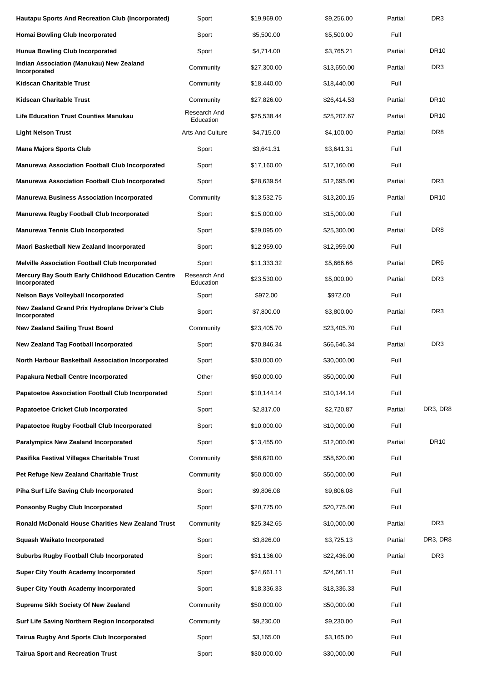| <b>Hautapu Sports And Recreation Club (Incorporated)</b>           | Sport                     | \$19,969.00 | \$9,256.00  | Partial | DR <sub>3</sub> |
|--------------------------------------------------------------------|---------------------------|-------------|-------------|---------|-----------------|
| <b>Homai Bowling Club Incorporated</b>                             | Sport                     | \$5,500.00  | \$5,500.00  | Full    |                 |
| <b>Hunua Bowling Club Incorporated</b>                             | Sport                     | \$4,714.00  | \$3,765.21  | Partial | <b>DR10</b>     |
| Indian Association (Manukau) New Zealand<br>Incorporated           | Community                 | \$27,300.00 | \$13,650.00 | Partial | DR <sub>3</sub> |
| Kidscan Charitable Trust                                           | Community                 | \$18,440.00 | \$18,440.00 | Full    |                 |
| Kidscan Charitable Trust                                           | Community                 | \$27,826.00 | \$26,414.53 | Partial | <b>DR10</b>     |
| Life Education Trust Counties Manukau                              | Research And<br>Education | \$25,538.44 | \$25,207.67 | Partial | <b>DR10</b>     |
| <b>Light Nelson Trust</b>                                          | <b>Arts And Culture</b>   | \$4,715.00  | \$4,100.00  | Partial | DR <sub>8</sub> |
| <b>Mana Majors Sports Club</b>                                     | Sport                     | \$3,641.31  | \$3,641.31  | Full    |                 |
| <b>Manurewa Association Football Club Incorporated</b>             | Sport                     | \$17,160.00 | \$17,160.00 | Full    |                 |
| <b>Manurewa Association Football Club Incorporated</b>             | Sport                     | \$28,639.54 | \$12,695.00 | Partial | DR <sub>3</sub> |
| <b>Manurewa Business Association Incorporated</b>                  | Community                 | \$13,532.75 | \$13,200.15 | Partial | <b>DR10</b>     |
| Manurewa Rugby Football Club Incorporated                          | Sport                     | \$15,000.00 | \$15,000.00 | Full    |                 |
| <b>Manurewa Tennis Club Incorporated</b>                           | Sport                     | \$29,095.00 | \$25,300.00 | Partial | DR <sub>8</sub> |
| Maori Basketball New Zealand Incorporated                          | Sport                     | \$12,959.00 | \$12,959.00 | Full    |                 |
| <b>Melville Association Football Club Incorporated</b>             | Sport                     | \$11,333.32 | \$5,666.66  | Partial | DR <sub>6</sub> |
| Mercury Bay South Early Childhood Education Centre<br>Incorporated | Research And<br>Education | \$23,530.00 | \$5,000.00  | Partial | DR <sub>3</sub> |
| <b>Nelson Bays Volleyball Incorporated</b>                         | Sport                     | \$972.00    | \$972.00    | Full    |                 |
| New Zealand Grand Prix Hydroplane Driver's Club<br>Incorporated    | Sport                     | \$7,800.00  | \$3,800.00  | Partial | DR <sub>3</sub> |
| <b>New Zealand Sailing Trust Board</b>                             | Community                 | \$23,405.70 | \$23,405.70 | Full    |                 |
| <b>New Zealand Tag Football Incorporated</b>                       | Sport                     | \$70,846.34 | \$66,646.34 | Partial | DR <sub>3</sub> |
| North Harbour Basketball Association Incorporated                  | Sport                     | \$30,000.00 | \$30,000.00 | Full    |                 |
| Papakura Netball Centre Incorporated                               | Other                     | \$50,000.00 | \$50,000.00 | Full    |                 |
| <b>Papatoetoe Association Football Club Incorporated</b>           | Sport                     | \$10,144.14 | \$10,144.14 | Full    |                 |
| <b>Papatoetoe Cricket Club Incorporated</b>                        | Sport                     | \$2,817.00  | \$2,720.87  | Partial | DR3, DR8        |
| Papatoetoe Rugby Football Club Incorporated                        | Sport                     | \$10,000.00 | \$10,000.00 | Full    |                 |
| <b>Paralympics New Zealand Incorporated</b>                        | Sport                     | \$13,455.00 | \$12,000.00 | Partial | DR10            |
| Pasifika Festival Villages Charitable Trust                        | Community                 | \$58,620.00 | \$58,620.00 | Full    |                 |
| Pet Refuge New Zealand Charitable Trust                            | Community                 | \$50,000.00 | \$50,000.00 | Full    |                 |
| Piha Surf Life Saving Club Incorporated                            | Sport                     | \$9,806.08  | \$9,806.08  | Full    |                 |
| <b>Ponsonby Rugby Club Incorporated</b>                            | Sport                     | \$20,775.00 | \$20,775.00 | Full    |                 |
| Ronald McDonald House Charities New Zealand Trust                  | Community                 | \$25,342.65 | \$10,000.00 | Partial | DR <sub>3</sub> |
| <b>Squash Waikato Incorporated</b>                                 | Sport                     | \$3,826.00  | \$3,725.13  | Partial | DR3, DR8        |
| <b>Suburbs Rugby Football Club Incorporated</b>                    | Sport                     | \$31,136.00 | \$22,436.00 | Partial | DR <sub>3</sub> |
| <b>Super City Youth Academy Incorporated</b>                       | Sport                     | \$24,661.11 | \$24,661.11 | Full    |                 |
| <b>Super City Youth Academy Incorporated</b>                       | Sport                     | \$18,336.33 | \$18,336.33 | Full    |                 |
| Supreme Sikh Society Of New Zealand                                | Community                 | \$50,000.00 | \$50,000.00 | Full    |                 |
| Surf Life Saving Northern Region Incorporated                      | Community                 | \$9,230.00  | \$9,230.00  | Full    |                 |
| Tairua Rugby And Sports Club Incorporated                          | Sport                     | \$3,165.00  | \$3,165.00  | Full    |                 |
| <b>Tairua Sport and Recreation Trust</b>                           | Sport                     | \$30,000.00 | \$30,000.00 | Full    |                 |